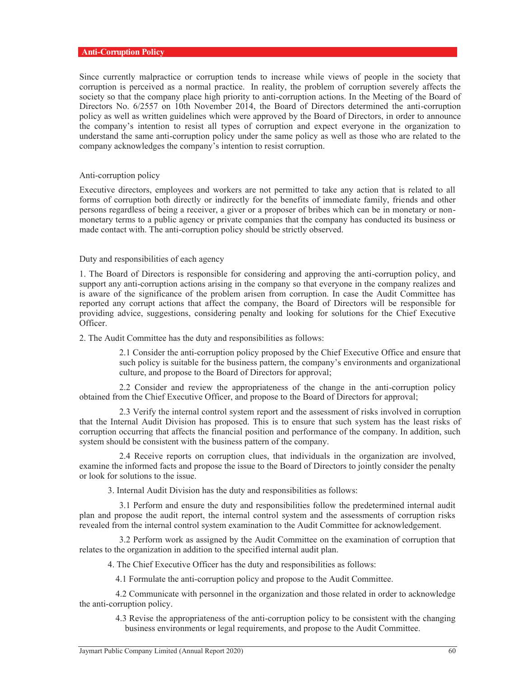## **Anti-Corruption Policy**

Since currently malpractice or corruption tends to increase while views of people in the society that corruption is perceived as a normal practice. In reality, the problem of corruption severely affects the society so that the company place high priority to anti-corruption actions. In the Meeting of the Board of Directors No. 6/2557 on 10th November 2014, the Board of Directors determined the anti-corruption policy as well as written guidelines which were approved by the Board of Directors, in order to announce the company's intention to resist all types of corruption and expect everyone in the organization to understand the same anti-corruption policy under the same policy as well as those who are related to the company acknowledges the company's intention to resist corruption.

## Anti-corruption policy

Executive directors, employees and workers are not permitted to take any action that is related to all forms of corruption both directly or indirectly for the benefits of immediate family, friends and other persons regardless of being a receiver, a giver or a proposer of bribes which can be in monetary or nonmonetary terms to a public agency or private companies that the company has conducted its business or made contact with. The anti-corruption policy should be strictly observed.

#### Duty and responsibilities of each agency

1. The Board of Directors is responsible for considering and approving the anti-corruption policy, and support any anti-corruption actions arising in the company so that everyone in the company realizes and is aware of the significance of the problem arisen from corruption. In case the Audit Committee has reported any corrupt actions that affect the company, the Board of Directors will be responsible for providing advice, suggestions, considering penalty and looking for solutions for the Chief Executive Officer.

2. The Audit Committee has the duty and responsibilities as follows:

2.1 Consider the anti-corruption policy proposed by the Chief Executive Office and ensure that such policy is suitable for the business pattern, the company's environments and organizational culture, and propose to the Board of Directors for approval;

2.2 Consider and review the appropriateness of the change in the anti-corruption policy obtained from the Chief Executive Officer, and propose to the Board of Directors for approval;

 2.3 Verify the internal control system report and the assessment of risks involved in corruption that the Internal Audit Division has proposed. This is to ensure that such system has the least risks of corruption occurring that affects the financial position and performance of the company. In addition, such system should be consistent with the business pattern of the company.

 2.4 Receive reports on corruption clues, that individuals in the organization are involved, examine the informed facts and propose the issue to the Board of Directors to jointly consider the penalty or look for solutions to the issue.

3. Internal Audit Division has the duty and responsibilities as follows:

 3.1 Perform and ensure the duty and responsibilities follow the predetermined internal audit plan and propose the audit report, the internal control system and the assessments of corruption risks revealed from the internal control system examination to the Audit Committee for acknowledgement.

 3.2 Perform work as assigned by the Audit Committee on the examination of corruption that relates to the organization in addition to the specified internal audit plan.

4. The Chief Executive Officer has the duty and responsibilities as follows:

4.1 Formulate the anti-corruption policy and propose to the Audit Committee.

 4.2 Communicate with personnel in the organization and those related in order to acknowledge the anti-corruption policy.

 4.3 Revise the appropriateness of the anti-corruption policy to be consistent with the changing business environments or legal requirements, and propose to the Audit Committee.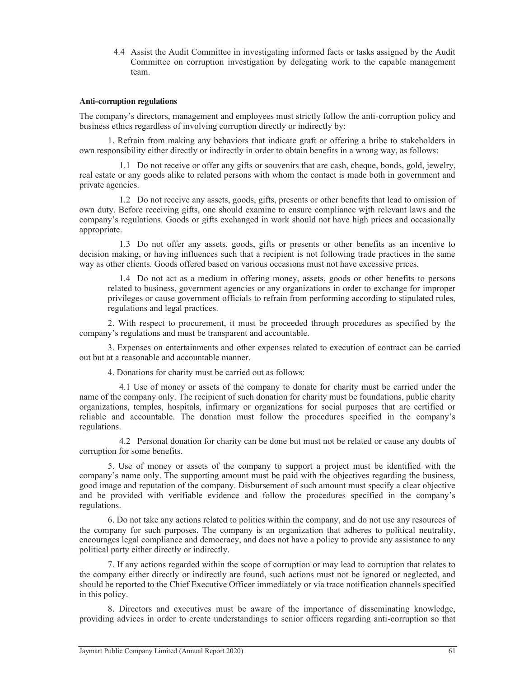4.4 Assist the Audit Committee in investigating informed facts or tasks assigned by the Audit Committee on corruption investigation by delegating work to the capable management team.

#### **Anti-corruption regulations**

The company's directors, management and employees must strictly follow the anti-corruption policy and business ethics regardless of involving corruption directly or indirectly by:

1. Refrain from making any behaviors that indicate graft or offering a bribe to stakeholders in own responsibility either directly or indirectly in order to obtain benefits in a wrong way, as follows:

1.1 Do not receive or offer any gifts or souvenirs that are cash, cheque, bonds, gold, jewelry, real estate or any goods alike to related persons with whom the contact is made both in government and private agencies.

1.2 Do not receive any assets, goods, gifts, presents or other benefits that lead to omission of own duty. Before receiving gifts, one should examine to ensure compliance with relevant laws and the company's regulations. Goods or gifts exchanged in work should not have high prices and occasionally appropriate.

1.3 Do not offer any assets, goods, gifts or presents or other benefits as an incentive to decision making, or having influences such that a recipient is not following trade practices in the same way as other clients. Goods offered based on various occasions must not have excessive prices.

1.4 Do not act as a medium in offering money, assets, goods or other benefits to persons related to business, government agencies or any organizations in order to exchange for improper privileges or cause government officials to refrain from performing according to stipulated rules, regulations and legal practices.

2. With respect to procurement, it must be proceeded through procedures as specified by the company's regulations and must be transparent and accountable.

3. Expenses on entertainments and other expenses related to execution of contract can be carried out but at a reasonable and accountable manner.

4. Donations for charity must be carried out as follows:

4.1 Use of money or assets of the company to donate for charity must be carried under the name of the company only. The recipient of such donation for charity must be foundations, public charity organizations, temples, hospitals, infirmary or organizations for social purposes that are certified or reliable and accountable. The donation must follow the procedures specified in the company's regulations.

4.2 Personal donation for charity can be done but must not be related or cause any doubts of corruption for some benefits.

5. Use of money or assets of the company to support a project must be identified with the company's name only. The supporting amount must be paid with the objectives regarding the business, good image and reputation of the company. Disbursement of such amount must specify a clear objective and be provided with verifiable evidence and follow the procedures specified in the company's regulations.

6. Do not take any actions related to politics within the company, and do not use any resources of the company for such purposes. The company is an organization that adheres to political neutrality, encourages legal compliance and democracy, and does not have a policy to provide any assistance to any political party either directly or indirectly.

7. If any actions regarded within the scope of corruption or may lead to corruption that relates to the company either directly or indirectly are found, such actions must not be ignored or neglected, and should be reported to the Chief Executive Officer immediately or via trace notification channels specified in this policy.

8. Directors and executives must be aware of the importance of disseminating knowledge, providing advices in order to create understandings to senior officers regarding anti-corruption so that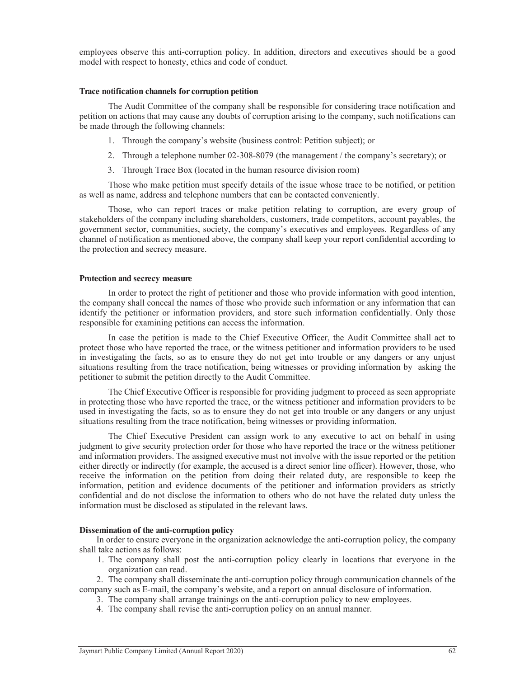employees observe this anti-corruption policy. In addition, directors and executives should be a good model with respect to honesty, ethics and code of conduct.

#### **Trace notification channels for corruption petition**

The Audit Committee of the company shall be responsible for considering trace notification and petition on actions that may cause any doubts of corruption arising to the company, such notifications can be made through the following channels:

- 1. Through the company's website (business control: Petition subject); or
- 2. Through a telephone number 02-308-8079 (the management / the company's secretary); or
- 3. Through Trace Box (located in the human resource division room)

Those who make petition must specify details of the issue whose trace to be notified, or petition as well as name, address and telephone numbers that can be contacted conveniently.

Those, who can report traces or make petition relating to corruption, are every group of stakeholders of the company including shareholders, customers, trade competitors, account payables, the government sector, communities, society, the company's executives and employees. Regardless of any channel of notification as mentioned above, the company shall keep your report confidential according to the protection and secrecy measure.

#### **Protection and secrecy measure**

In order to protect the right of petitioner and those who provide information with good intention, the company shall conceal the names of those who provide such information or any information that can identify the petitioner or information providers, and store such information confidentially. Only those responsible for examining petitions can access the information.

In case the petition is made to the Chief Executive Officer, the Audit Committee shall act to protect those who have reported the trace, or the witness petitioner and information providers to be used in investigating the facts, so as to ensure they do not get into trouble or any dangers or any unjust situations resulting from the trace notification, being witnesses or providing information by asking the petitioner to submit the petition directly to the Audit Committee.

 The Chief Executive Officer is responsible for providing judgment to proceed as seen appropriate in protecting those who have reported the trace, or the witness petitioner and information providers to be used in investigating the facts, so as to ensure they do not get into trouble or any dangers or any unjust situations resulting from the trace notification, being witnesses or providing information.

 The Chief Executive President can assign work to any executive to act on behalf in using judgment to give security protection order for those who have reported the trace or the witness petitioner and information providers. The assigned executive must not involve with the issue reported or the petition either directly or indirectly (for example, the accused is a direct senior line officer). However, those, who receive the information on the petition from doing their related duty, are responsible to keep the information, petition and evidence documents of the petitioner and information providers as strictly confidential and do not disclose the information to others who do not have the related duty unless the information must be disclosed as stipulated in the relevant laws.

## **Dissemination of the anti-corruption policy**

In order to ensure everyone in the organization acknowledge the anti-corruption policy, the company shall take actions as follows:

1. The company shall post the anti-corruption policy clearly in locations that everyone in the organization can read.

2. The company shall disseminate the anti-corruption policy through communication channels of the company such as E-mail, the company's website, and a report on annual disclosure of information.

- 3. The company shall arrange trainings on the anti-corruption policy to new employees.
- 4. The company shall revise the anti-corruption policy on an annual manner.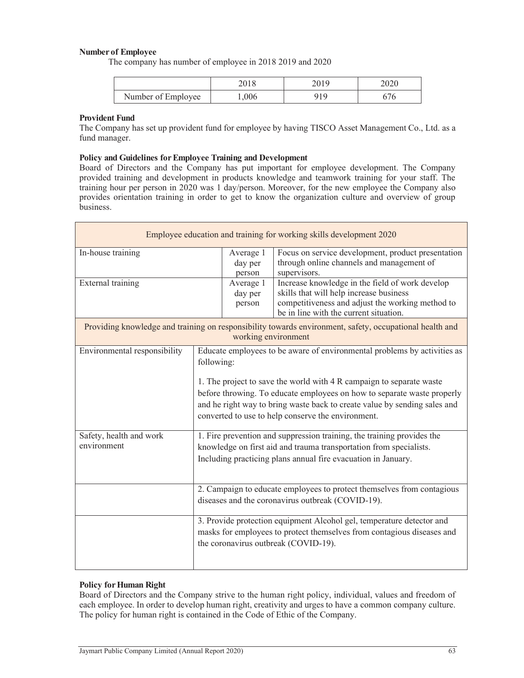# **Number of Employee**

The company has number of employee in 2018 2019 and 2020

|                    |       | ∠∪∠∪ |
|--------------------|-------|------|
| Number of Employee | 1,006 |      |

## **Provident Fund**

The Company has set up provident fund for employee by having TISCO Asset Management Co., Ltd. as a fund manager.

#### **Policy and Guidelines for Employee Training and Development**

Board of Directors and the Company has put important for employee development. The Company provided training and development in products knowledge and teamwork training for your staff. The training hour per person in 2020 was 1 day/person. Moreover, for the new employee the Company also provides orientation training in order to get to know the organization culture and overview of group business.

| Employee education and training for working skills development 2020                                                            |                                                                                                                                                                                                                                                                                                                                                                              |                                |                                                                                                                                                                                          |  |
|--------------------------------------------------------------------------------------------------------------------------------|------------------------------------------------------------------------------------------------------------------------------------------------------------------------------------------------------------------------------------------------------------------------------------------------------------------------------------------------------------------------------|--------------------------------|------------------------------------------------------------------------------------------------------------------------------------------------------------------------------------------|--|
| In-house training                                                                                                              |                                                                                                                                                                                                                                                                                                                                                                              | Average 1<br>day per<br>person | Focus on service development, product presentation<br>through online channels and management of<br>supervisors.                                                                          |  |
| External training                                                                                                              |                                                                                                                                                                                                                                                                                                                                                                              | Average 1<br>day per<br>person | Increase knowledge in the field of work develop<br>skills that will help increase business<br>competitiveness and adjust the working method to<br>be in line with the current situation. |  |
| Providing knowledge and training on responsibility towards environment, safety, occupational health and<br>working environment |                                                                                                                                                                                                                                                                                                                                                                              |                                |                                                                                                                                                                                          |  |
| Environmental responsibility                                                                                                   | Educate employees to be aware of environmental problems by activities as<br>following:<br>1. The project to save the world with 4 R campaign to separate waste<br>before throwing. To educate employees on how to separate waste properly<br>and he right way to bring waste back to create value by sending sales and<br>converted to use to help conserve the environment. |                                |                                                                                                                                                                                          |  |
| Safety, health and work<br>environment                                                                                         | 1. Fire prevention and suppression training, the training provides the<br>knowledge on first aid and trauma transportation from specialists.<br>Including practicing plans annual fire evacuation in January.<br>2. Campaign to educate employees to protect themselves from contagious                                                                                      |                                |                                                                                                                                                                                          |  |
|                                                                                                                                | diseases and the coronavirus outbreak (COVID-19).                                                                                                                                                                                                                                                                                                                            |                                |                                                                                                                                                                                          |  |
|                                                                                                                                |                                                                                                                                                                                                                                                                                                                                                                              |                                | 3. Provide protection equipment Alcohol gel, temperature detector and<br>masks for employees to protect themselves from contagious diseases and<br>the coronavirus outbreak (COVID-19).  |  |

## **Policy for Human Right**

Board of Directors and the Company strive to the human right policy, individual, values and freedom of each employee. In order to develop human right, creativity and urges to have a common company culture. The policy for human right is contained in the Code of Ethic of the Company.